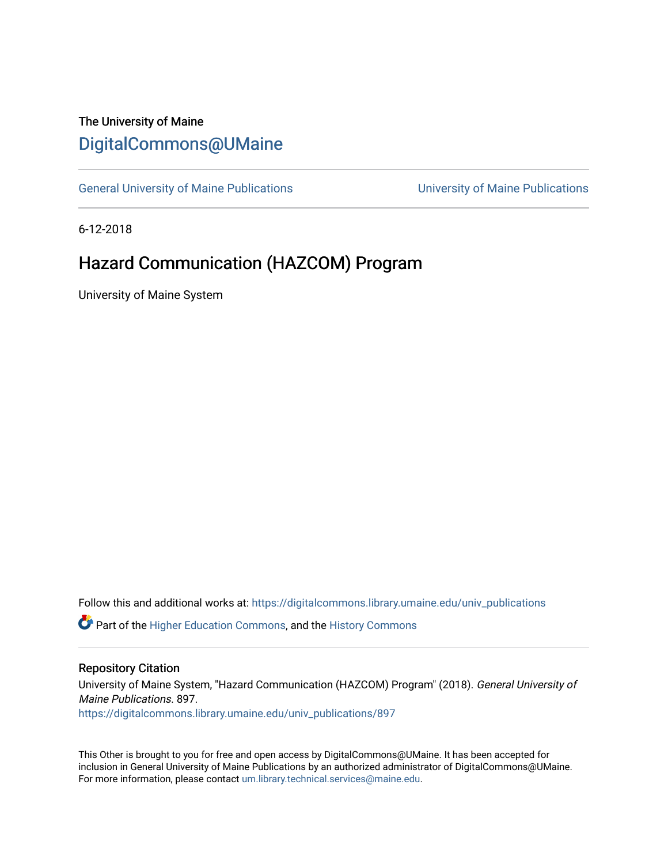# The University of Maine [DigitalCommons@UMaine](https://digitalcommons.library.umaine.edu/)

[General University of Maine Publications](https://digitalcommons.library.umaine.edu/univ_publications) [University of Maine Publications](https://digitalcommons.library.umaine.edu/umaine_publications) 

6-12-2018

# Hazard Communication (HAZCOM) Program

University of Maine System

Follow this and additional works at: [https://digitalcommons.library.umaine.edu/univ\\_publications](https://digitalcommons.library.umaine.edu/univ_publications?utm_source=digitalcommons.library.umaine.edu%2Funiv_publications%2F897&utm_medium=PDF&utm_campaign=PDFCoverPages) 

**C** Part of the [Higher Education Commons,](http://network.bepress.com/hgg/discipline/1245?utm_source=digitalcommons.library.umaine.edu%2Funiv_publications%2F897&utm_medium=PDF&utm_campaign=PDFCoverPages) and the [History Commons](http://network.bepress.com/hgg/discipline/489?utm_source=digitalcommons.library.umaine.edu%2Funiv_publications%2F897&utm_medium=PDF&utm_campaign=PDFCoverPages)

### Repository Citation

University of Maine System, "Hazard Communication (HAZCOM) Program" (2018). General University of Maine Publications. 897.

[https://digitalcommons.library.umaine.edu/univ\\_publications/897](https://digitalcommons.library.umaine.edu/univ_publications/897?utm_source=digitalcommons.library.umaine.edu%2Funiv_publications%2F897&utm_medium=PDF&utm_campaign=PDFCoverPages) 

This Other is brought to you for free and open access by DigitalCommons@UMaine. It has been accepted for inclusion in General University of Maine Publications by an authorized administrator of DigitalCommons@UMaine. For more information, please contact [um.library.technical.services@maine.edu](mailto:um.library.technical.services@maine.edu).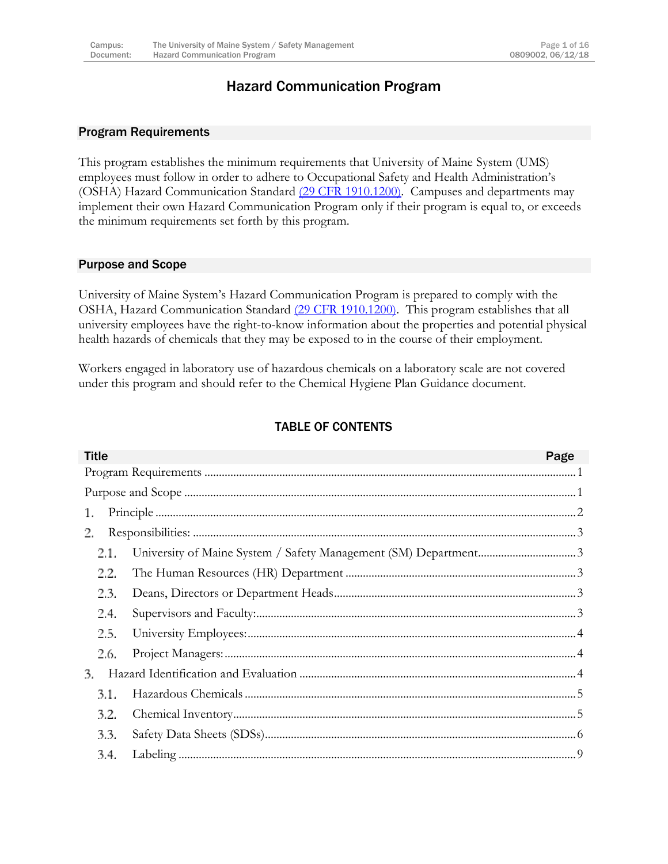# Hazard Communication Program

### <span id="page-1-0"></span>Program Requirements

This program establishes the minimum requirements that University of Maine System (UMS) employees must follow in order to adhere to Occupational Safety and Health Administration's (OSHA) Hazard Communication Standard [\(29 CFR 1910.1200\).](https://www.osha.gov/pls/oshaweb/owadisp.show_document?p_table=standards&p_id=10099) Campuses and departments may implement their own Hazard Communication Program only if their program is equal to, or exceeds the minimum requirements set forth by this program.

### <span id="page-1-1"></span>Purpose and Scope

University of Maine System's Hazard Communication Program is prepared to comply with the OSHA, Hazard Communication Standard [\(29 CFR 1910.1200\).](https://www.osha.gov/pls/oshaweb/owadisp.show_document?p_table=standards&p_id=10099) This program establishes that all university employees have the right-to-know information about the properties and potential physical health hazards of chemicals that they may be exposed to in the course of their employment.

Workers engaged in laboratory use of hazardous chemicals on a laboratory scale are not covered under this program and should refer to the Chemical Hygiene Plan Guidance document.

### TABLE OF CONTENTS

| <b>Title</b> | Page |
|--------------|------|
|              |      |
|              |      |
| 1.           |      |
| 2.           |      |
| 2.1.         |      |
| 2.2.         |      |
| 2.3.         |      |
| 2.4.         |      |
| 2.5.         |      |
| 2.6.         |      |
| 3.           |      |
| 3.1.         |      |
| 3.2.         |      |
| 3.3.         |      |
| 3.4.         |      |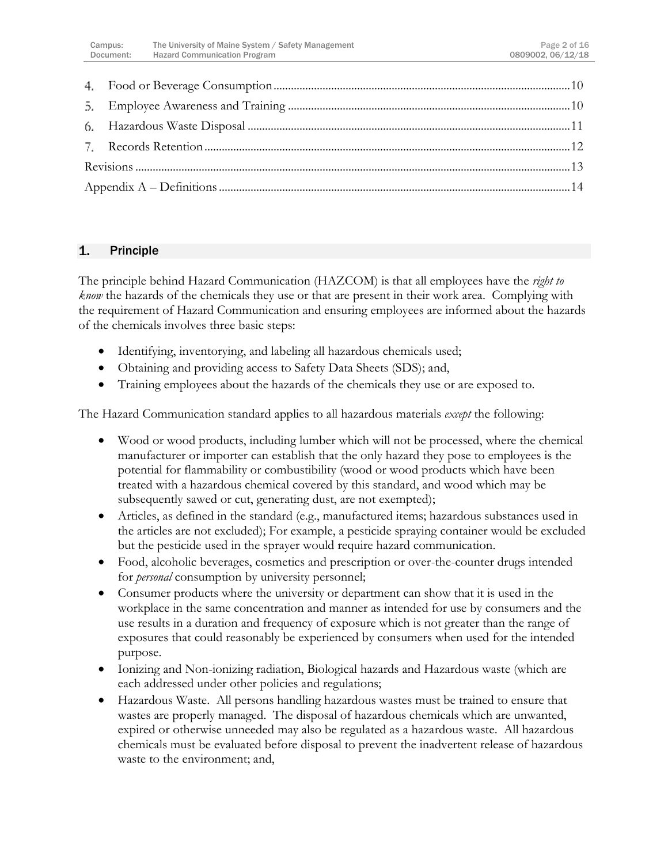### <span id="page-2-0"></span> $\mathbf{1}$ Principle

The principle behind Hazard Communication (HAZCOM) is that all employees have the *right to know* the hazards of the chemicals they use or that are present in their work area. Complying with the requirement of Hazard Communication and ensuring employees are informed about the hazards of the chemicals involves three basic steps:

- Identifying, inventorying, and labeling all hazardous chemicals used;
- Obtaining and providing access to Safety Data Sheets (SDS); and,
- Training employees about the hazards of the chemicals they use or are exposed to.

The Hazard Communication standard applies to all hazardous materials *except* the following:

- Wood or wood products, including lumber which will not be processed, where the chemical manufacturer or importer can establish that the only hazard they pose to employees is the potential for flammability or combustibility (wood or wood products which have been treated with a hazardous chemical covered by this standard, and wood which may be subsequently sawed or cut, generating dust, are not exempted);
- Articles, as defined in the standard (e.g., manufactured items; hazardous substances used in the articles are not excluded); For example, a pesticide spraying container would be excluded but the pesticide used in the sprayer would require hazard communication.
- Food, alcoholic beverages, cosmetics and prescription or over-the-counter drugs intended for *personal* consumption by university personnel;
- Consumer products where the university or department can show that it is used in the workplace in the same concentration and manner as intended for use by consumers and the use results in a duration and frequency of exposure which is not greater than the range of exposures that could reasonably be experienced by consumers when used for the intended purpose.
- Ionizing and Non-ionizing radiation, Biological hazards and Hazardous waste (which are each addressed under other policies and regulations;
- Hazardous Waste. All persons handling hazardous wastes must be trained to ensure that wastes are properly managed. The disposal of hazardous chemicals which are unwanted, expired or otherwise unneeded may also be regulated as a hazardous waste. All hazardous chemicals must be evaluated before disposal to prevent the inadvertent release of hazardous waste to the environment; and,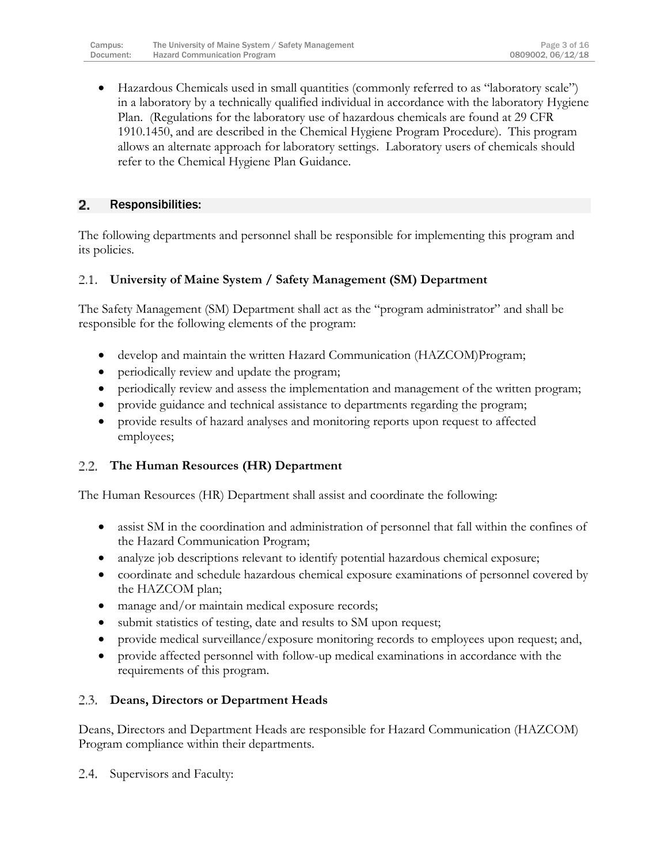Hazardous Chemicals used in small quantities (commonly referred to as "laboratory scale") in a laboratory by a technically qualified individual in accordance with the laboratory Hygiene Plan. (Regulations for the laboratory use of hazardous chemicals are found at 29 CFR 1910.1450, and are described in the Chemical Hygiene Program Procedure). This program allows an alternate approach for laboratory settings. Laboratory users of chemicals should refer to the Chemical Hygiene Plan Guidance.

#### <span id="page-3-0"></span> $\mathbf{2}$ Responsibilities:

The following departments and personnel shall be responsible for implementing this program and its policies.

#### <span id="page-3-1"></span>**University of Maine System / Safety Management (SM) Department** 2.1.

The Safety Management (SM) Department shall act as the "program administrator" and shall be responsible for the following elements of the program:

- develop and maintain the written Hazard Communication (HAZCOM)Program;
- periodically review and update the program;
- periodically review and assess the implementation and management of the written program;
- provide guidance and technical assistance to departments regarding the program;
- provide results of hazard analyses and monitoring reports upon request to affected employees;

# <span id="page-3-2"></span>**The Human Resources (HR) Department**

The Human Resources (HR) Department shall assist and coordinate the following:

- assist SM in the coordination and administration of personnel that fall within the confines of the Hazard Communication Program;
- analyze job descriptions relevant to identify potential hazardous chemical exposure;
- coordinate and schedule hazardous chemical exposure examinations of personnel covered by the HAZCOM plan;
- manage and/or maintain medical exposure records;
- submit statistics of testing, date and results to SM upon request;
- provide medical surveillance/exposure monitoring records to employees upon request; and,
- provide affected personnel with follow-up medical examinations in accordance with the requirements of this program.

# <span id="page-3-3"></span>**Deans, Directors or Department Heads**

Deans, Directors and Department Heads are responsible for Hazard Communication (HAZCOM) Program compliance within their departments.

<span id="page-3-4"></span>Supervisors and Faculty:2.4.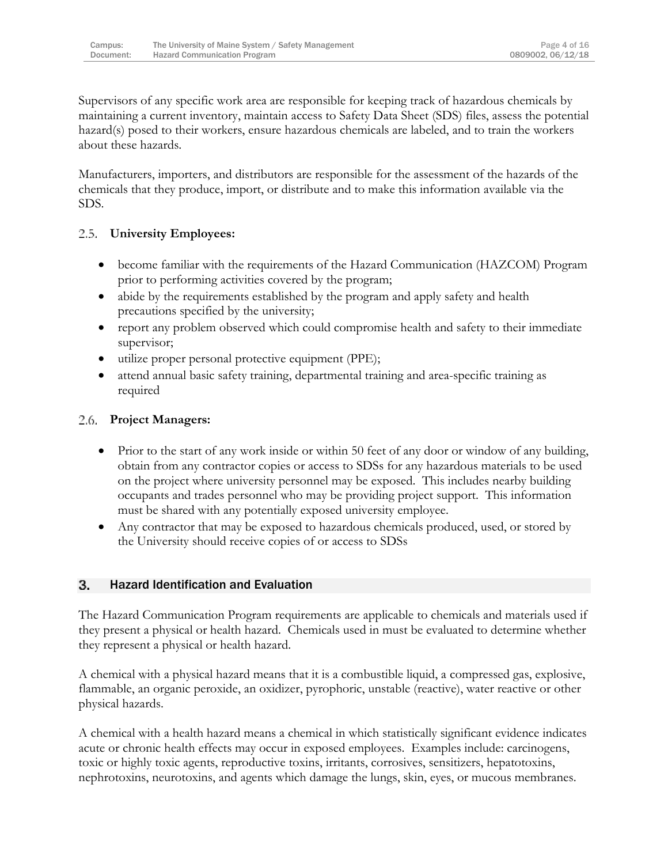Supervisors of any specific work area are responsible for keeping track of hazardous chemicals by maintaining a current inventory, maintain access to Safety Data Sheet (SDS) files, assess the potential hazard(s) posed to their workers, ensure hazardous chemicals are labeled, and to train the workers about these hazards.

Manufacturers, importers, and distributors are responsible for the assessment of the hazards of the chemicals that they produce, import, or distribute and to make this information available via the SDS.

#### <span id="page-4-0"></span> $2.5.$ **University Employees:**

- become familiar with the requirements of the Hazard Communication (HAZCOM) Program prior to performing activities covered by the program;
- abide by the requirements established by the program and apply safety and health precautions specified by the university;
- report any problem observed which could compromise health and safety to their immediate supervisor;
- utilize proper personal protective equipment (PPE);
- attend annual basic safety training, departmental training and area-specific training as required

# <span id="page-4-1"></span>**Project Managers:**

- Prior to the start of any work inside or within 50 feet of any door or window of any building, obtain from any contractor copies or access to SDSs for any hazardous materials to be used on the project where university personnel may be exposed. This includes nearby building occupants and trades personnel who may be providing project support. This information must be shared with any potentially exposed university employee.
- Any contractor that may be exposed to hazardous chemicals produced, used, or stored by the University should receive copies of or access to SDSs

#### <span id="page-4-2"></span>3. Hazard Identification and Evaluation

The Hazard Communication Program requirements are applicable to chemicals and materials used if they present a physical or health hazard. Chemicals used in must be evaluated to determine whether they represent a physical or health hazard.

A chemical with a physical hazard means that it is a combustible liquid, a compressed gas, explosive, flammable, an organic peroxide, an oxidizer, pyrophoric, unstable (reactive), water reactive or other physical hazards.

A chemical with a health hazard means a chemical in which statistically significant evidence indicates acute or chronic health effects may occur in exposed employees. Examples include: carcinogens, toxic or highly toxic agents, reproductive toxins, irritants, corrosives, sensitizers, hepatotoxins, nephrotoxins, neurotoxins, and agents which damage the lungs, skin, eyes, or mucous membranes.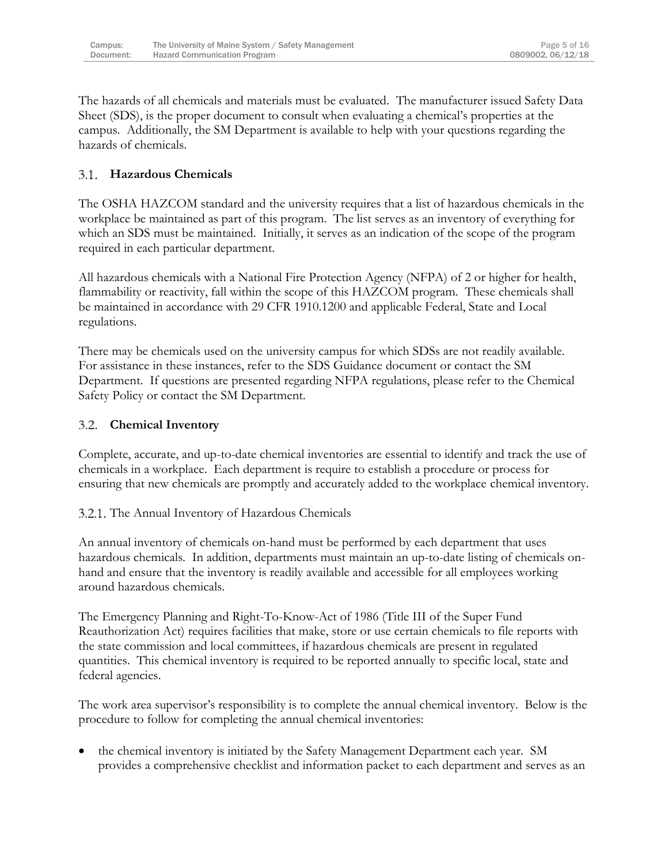The hazards of all chemicals and materials must be evaluated. The manufacturer issued Safety Data Sheet (SDS), is the proper document to consult when evaluating a chemical's properties at the campus. Additionally, the SM Department is available to help with your questions regarding the hazards of chemicals.

# <span id="page-5-0"></span>**Hazardous Chemicals**

The OSHA HAZCOM standard and the university requires that a list of hazardous chemicals in the workplace be maintained as part of this program. The list serves as an inventory of everything for which an SDS must be maintained. Initially, it serves as an indication of the scope of the program required in each particular department.

All hazardous chemicals with a National Fire Protection Agency (NFPA) of 2 or higher for health, flammability or reactivity, fall within the scope of this HAZCOM program. These chemicals shall be maintained in accordance with 29 CFR 1910.1200 and applicable Federal, State and Local regulations.

There may be chemicals used on the university campus for which SDSs are not readily available. For assistance in these instances, refer to the SDS Guidance document or contact the SM Department. If questions are presented regarding NFPA regulations, please refer to the Chemical Safety Policy or contact the SM Department.

#### <span id="page-5-1"></span>3.2. **Chemical Inventory**

Complete, accurate, and up-to-date chemical inventories are essential to identify and track the use of chemicals in a workplace. Each department is require to establish a procedure or process for ensuring that new chemicals are promptly and accurately added to the workplace chemical inventory.

### 3.2.1. The Annual Inventory of Hazardous Chemicals

An annual inventory of chemicals on-hand must be performed by each department that uses hazardous chemicals. In addition, departments must maintain an up-to-date listing of chemicals onhand and ensure that the inventory is readily available and accessible for all employees working around hazardous chemicals.

The Emergency Planning and Right-To-Know-Act of 1986 (Title III of the Super Fund Reauthorization Act) requires facilities that make, store or use certain chemicals to file reports with the state commission and local committees, if hazardous chemicals are present in regulated quantities. This chemical inventory is required to be reported annually to specific local, state and federal agencies.

The work area supervisor's responsibility is to complete the annual chemical inventory. Below is the procedure to follow for completing the annual chemical inventories:

 the chemical inventory is initiated by the Safety Management Department each year. SM provides a comprehensive checklist and information packet to each department and serves as an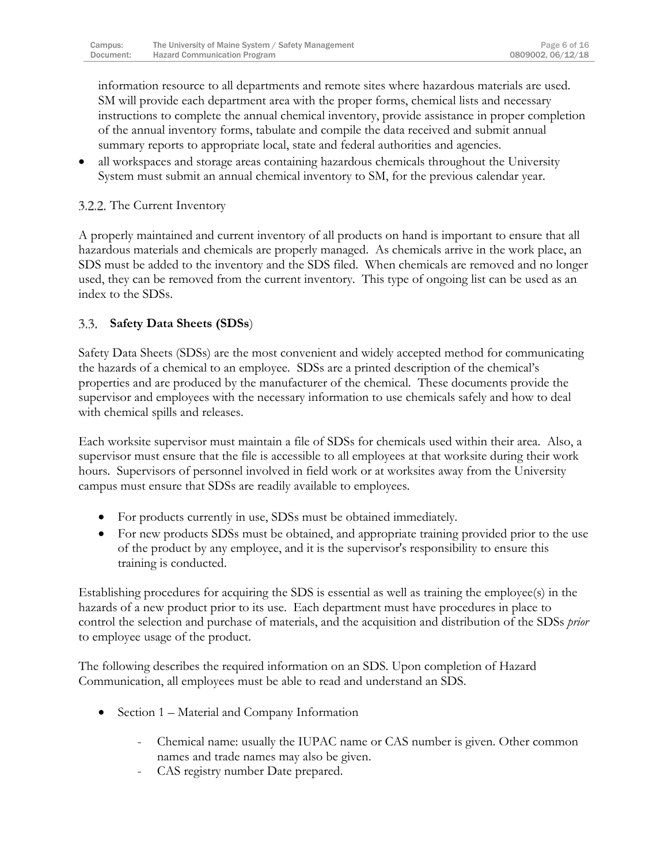information resource to all departments and remote sites where hazardous materials are used. SM will provide each department area with the proper forms, chemical lists and necessary instructions to complete the annual chemical inventory, provide assistance in proper completion of the annual inventory forms, tabulate and compile the data received and submit annual summary reports to appropriate local, state and federal authorities and agencies.

 all workspaces and storage areas containing hazardous chemicals throughout the University System must submit an annual chemical inventory to SM, for the previous calendar year.

### 3.2.2. The Current Inventory

A properly maintained and current inventory of all products on hand is important to ensure that all hazardous materials and chemicals are properly managed. As chemicals arrive in the work place, an SDS must be added to the inventory and the SDS filed. When chemicals are removed and no longer used, they can be removed from the current inventory. This type of ongoing list can be used as an index to the SDSs.

#### <span id="page-6-0"></span> $3.3.$ **Safety Data Sheets (SDSs**)

Safety Data Sheets (SDSs) are the most convenient and widely accepted method for communicating the hazards of a chemical to an employee. SDSs are a printed description of the chemical's properties and are produced by the manufacturer of the chemical. These documents provide the supervisor and employees with the necessary information to use chemicals safely and how to deal with chemical spills and releases.

Each worksite supervisor must maintain a file of SDSs for chemicals used within their area. Also, a supervisor must ensure that the file is accessible to all employees at that worksite during their work hours. Supervisors of personnel involved in field work or at worksites away from the University campus must ensure that SDSs are readily available to employees.

- For products currently in use, SDSs must be obtained immediately.
- For new products SDSs must be obtained, and appropriate training provided prior to the use of the product by any employee, and it is the supervisor's responsibility to ensure this training is conducted.

Establishing procedures for acquiring the SDS is essential as well as training the employee(s) in the hazards of a new product prior to its use. Each department must have procedures in place to control the selection and purchase of materials, and the acquisition and distribution of the SDSs *prior*  to employee usage of the product.

The following describes the required information on an SDS. Upon completion of Hazard Communication, all employees must be able to read and understand an SDS.

- Section 1 Material and Company Information
	- Chemical name: usually the IUPAC name or CAS number is given. Other common names and trade names may also be given.
	- CAS registry number Date prepared.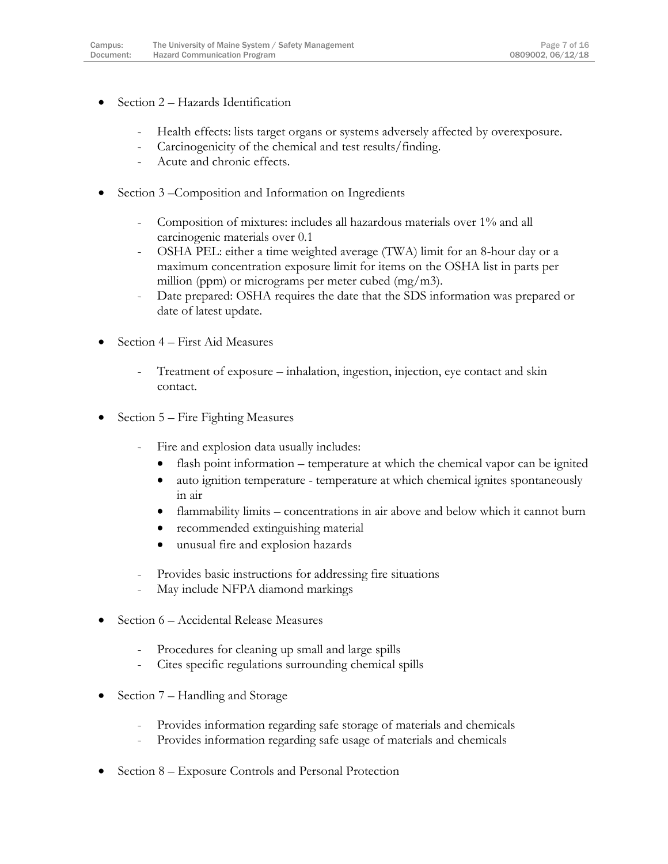- Section 2 Hazards Identification
	- Health effects: lists target organs or systems adversely affected by overexposure.
	- Carcinogenicity of the chemical and test results/finding.
	- Acute and chronic effects.
- Section 3 –Composition and Information on Ingredients
	- Composition of mixtures: includes all hazardous materials over 1% and all carcinogenic materials over 0.1
	- OSHA PEL: either a time weighted average (TWA) limit for an 8-hour day or a maximum concentration exposure limit for items on the OSHA list in parts per million (ppm) or micrograms per meter cubed (mg/m3).
	- Date prepared: OSHA requires the date that the SDS information was prepared or date of latest update.
- Section 4 First Aid Measures
	- Treatment of exposure inhalation, ingestion, injection, eye contact and skin contact.
- Section 5 Fire Fighting Measures
	- Fire and explosion data usually includes:
		- flash point information temperature at which the chemical vapor can be ignited
		- auto ignition temperature temperature at which chemical ignites spontaneously in air
		- flammability limits concentrations in air above and below which it cannot burn
		- recommended extinguishing material
		- unusual fire and explosion hazards
	- Provides basic instructions for addressing fire situations
	- May include NFPA diamond markings
- Section 6 Accidental Release Measures
	- Procedures for cleaning up small and large spills
	- Cites specific regulations surrounding chemical spills
- Section 7 Handling and Storage
	- Provides information regarding safe storage of materials and chemicals
	- Provides information regarding safe usage of materials and chemicals
- Section 8 Exposure Controls and Personal Protection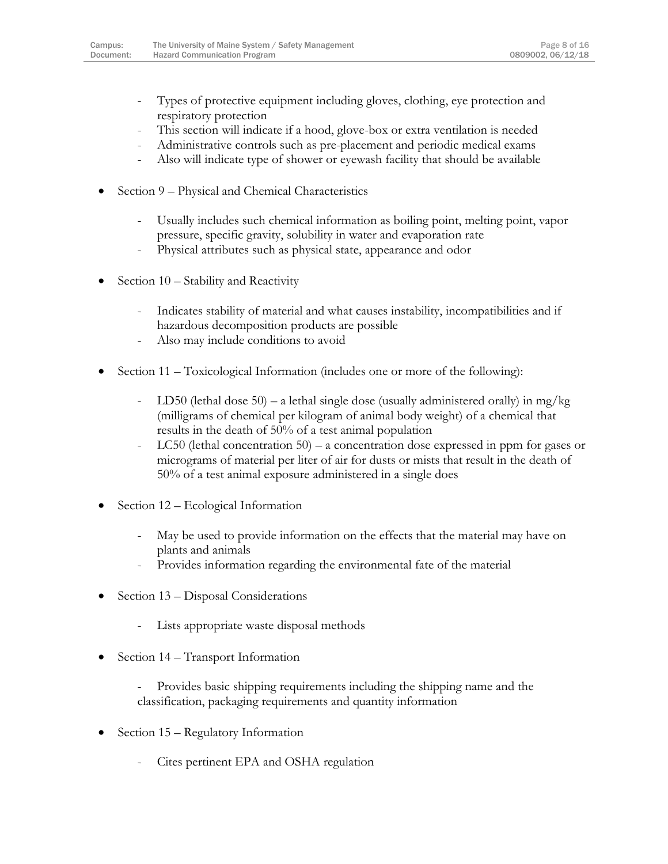- Types of protective equipment including gloves, clothing, eye protection and respiratory protection
- This section will indicate if a hood, glove-box or extra ventilation is needed
- Administrative controls such as pre-placement and periodic medical exams
- Also will indicate type of shower or eyewash facility that should be available
- Section 9 Physical and Chemical Characteristics
	- Usually includes such chemical information as boiling point, melting point, vapor pressure, specific gravity, solubility in water and evaporation rate
	- Physical attributes such as physical state, appearance and odor
- Section 10 Stability and Reactivity
	- Indicates stability of material and what causes instability, incompatibilities and if hazardous decomposition products are possible
	- Also may include conditions to avoid
- Section 11 Toxicological Information (includes one or more of the following):
	- LD50 (lethal dose 50) a lethal single dose (usually administered orally) in mg/kg (milligrams of chemical per kilogram of animal body weight) of a chemical that results in the death of 50% of a test animal population
	- LC50 (lethal concentration 50) a concentration dose expressed in ppm for gases or micrograms of material per liter of air for dusts or mists that result in the death of 50% of a test animal exposure administered in a single does
- Section 12 Ecological Information
	- May be used to provide information on the effects that the material may have on plants and animals
	- Provides information regarding the environmental fate of the material
- Section 13 Disposal Considerations
	- Lists appropriate waste disposal methods
- Section 14 Transport Information
	- Provides basic shipping requirements including the shipping name and the classification, packaging requirements and quantity information
- Section 15 Regulatory Information
	- Cites pertinent EPA and OSHA regulation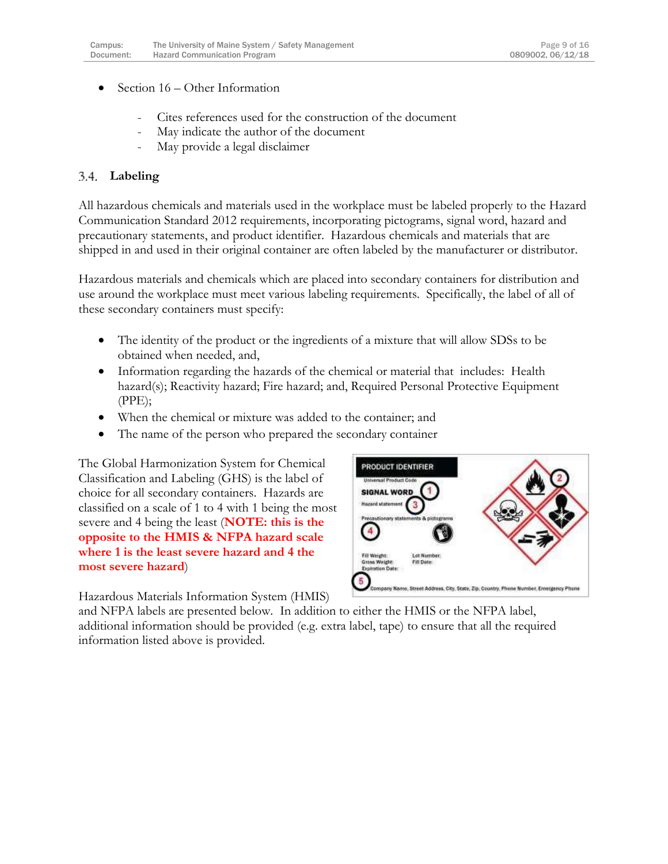- Section 16 Other Information
	- Cites references used for the construction of the document
	- May indicate the author of the document
	- May provide a legal disclaimer

### <span id="page-9-0"></span>**Labeling**

All hazardous chemicals and materials used in the workplace must be labeled properly to the Hazard Communication Standard 2012 requirements, incorporating pictograms, signal word, hazard and precautionary statements, and product identifier. Hazardous chemicals and materials that are shipped in and used in their original container are often labeled by the manufacturer or distributor.

Hazardous materials and chemicals which are placed into secondary containers for distribution and use around the workplace must meet various labeling requirements. Specifically, the label of all of these secondary containers must specify:

- The identity of the product or the ingredients of a mixture that will allow SDSs to be obtained when needed, and,
- Information regarding the hazards of the chemical or material that includes: Health hazard(s); Reactivity hazard; Fire hazard; and, Required Personal Protective Equipment (PPE);
- When the chemical or mixture was added to the container; and
- The name of the person who prepared the secondary container

The Global Harmonization System for Chemical Classification and Labeling (GHS) is the label of choice for all secondary containers. Hazards are classified on a scale of 1 to 4 with 1 being the most severe and 4 being the least (**NOTE: this is the opposite to the HMIS & NFPA hazard scale where 1 is the least severe hazard and 4 the most severe hazard**)

PRODUCT IDENTIFIER **SIGNAL WORD Hazard statement**  $\overline{\mathbf{3}}$ 4 Fill Weight Lot Number Gross Weight Fill Date: Expiration Date: 5 Company Name, Street Address, City, State, Zip, Country, Phone Number, Emergency Phone

Hazardous Materials Information System (HMIS)

and NFPA labels are presented below. In addition to either the HMIS or the NFPA label, additional information should be provided (e.g. extra label, tape) to ensure that all the required information listed above is provided.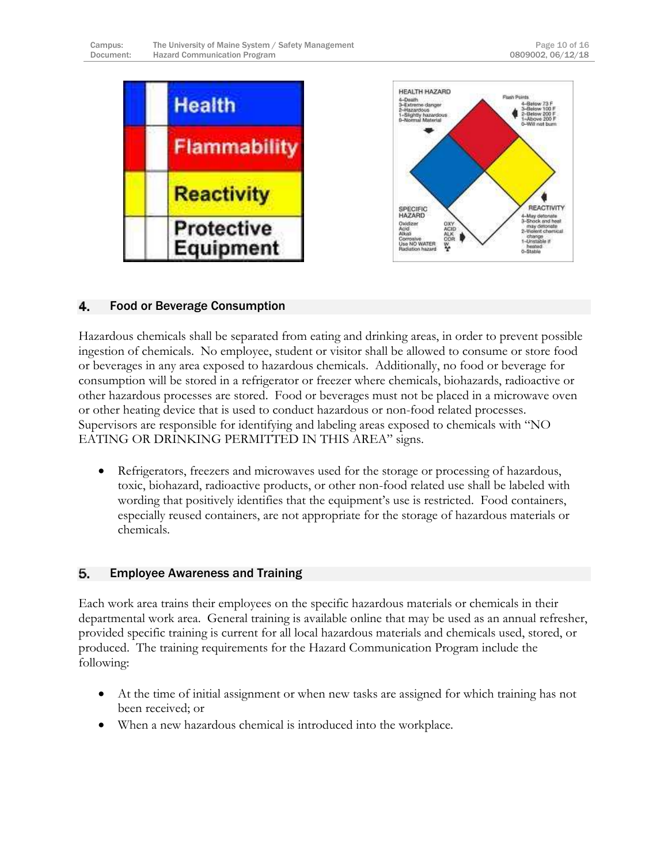

#### <span id="page-10-0"></span>4. Food or Beverage Consumption

Hazardous chemicals shall be separated from eating and drinking areas, in order to prevent possible ingestion of chemicals. No employee, student or visitor shall be allowed to consume or store food or beverages in any area exposed to hazardous chemicals. Additionally, no food or beverage for consumption will be stored in a refrigerator or freezer where chemicals, biohazards, radioactive or other hazardous processes are stored. Food or beverages must not be placed in a microwave oven or other heating device that is used to conduct hazardous or non-food related processes. Supervisors are responsible for identifying and labeling areas exposed to chemicals with "NO EATING OR DRINKING PERMITTED IN THIS AREA" signs.

 Refrigerators, freezers and microwaves used for the storage or processing of hazardous, toxic, biohazard, radioactive products, or other non-food related use shall be labeled with wording that positively identifies that the equipment's use is restricted. Food containers, especially reused containers, are not appropriate for the storage of hazardous materials or chemicals.

#### <span id="page-10-1"></span>5. Employee Awareness and Training

Each work area trains their employees on the specific hazardous materials or chemicals in their departmental work area. General training is available online that may be used as an annual refresher, provided specific training is current for all local hazardous materials and chemicals used, stored, or produced. The training requirements for the Hazard Communication Program include the following:

- At the time of initial assignment or when new tasks are assigned for which training has not been received; or
- When a new hazardous chemical is introduced into the workplace.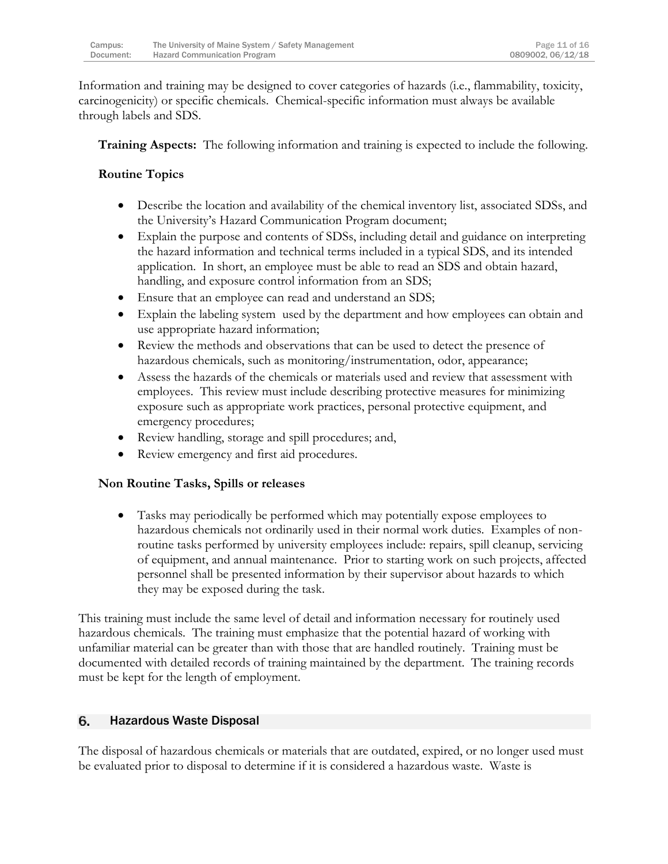| Campus:   | The University of Maine System / Safety Management |
|-----------|----------------------------------------------------|
| Document: | <b>Hazard Communication Program</b>                |

Information and training may be designed to cover categories of hazards (i.e., flammability, toxicity, carcinogenicity) or specific chemicals. Chemical-specific information must always be available through labels and SDS.

**Training Aspects:** The following information and training is expected to include the following.

# **Routine Topics**

- Describe the location and availability of the chemical inventory list, associated SDSs, and the University's Hazard Communication Program document;
- Explain the purpose and contents of SDSs, including detail and guidance on interpreting the hazard information and technical terms included in a typical SDS, and its intended application. In short, an employee must be able to read an SDS and obtain hazard, handling, and exposure control information from an SDS;
- Ensure that an employee can read and understand an SDS;
- Explain the labeling system used by the department and how employees can obtain and use appropriate hazard information;
- Review the methods and observations that can be used to detect the presence of hazardous chemicals, such as monitoring/instrumentation, odor, appearance;
- Assess the hazards of the chemicals or materials used and review that assessment with employees. This review must include describing protective measures for minimizing exposure such as appropriate work practices, personal protective equipment, and emergency procedures;
- Review handling, storage and spill procedures; and,
- Review emergency and first aid procedures.

# **Non Routine Tasks, Spills or releases**

 Tasks may periodically be performed which may potentially expose employees to hazardous chemicals not ordinarily used in their normal work duties. Examples of nonroutine tasks performed by university employees include: repairs, spill cleanup, servicing of equipment, and annual maintenance. Prior to starting work on such projects, affected personnel shall be presented information by their supervisor about hazards to which they may be exposed during the task.

This training must include the same level of detail and information necessary for routinely used hazardous chemicals. The training must emphasize that the potential hazard of working with unfamiliar material can be greater than with those that are handled routinely. Training must be documented with detailed records of training maintained by the department. The training records must be kept for the length of employment.

#### <span id="page-11-0"></span>6. Hazardous Waste Disposal

The disposal of hazardous chemicals or materials that are outdated, expired, or no longer used must be evaluated prior to disposal to determine if it is considered a hazardous waste. Waste is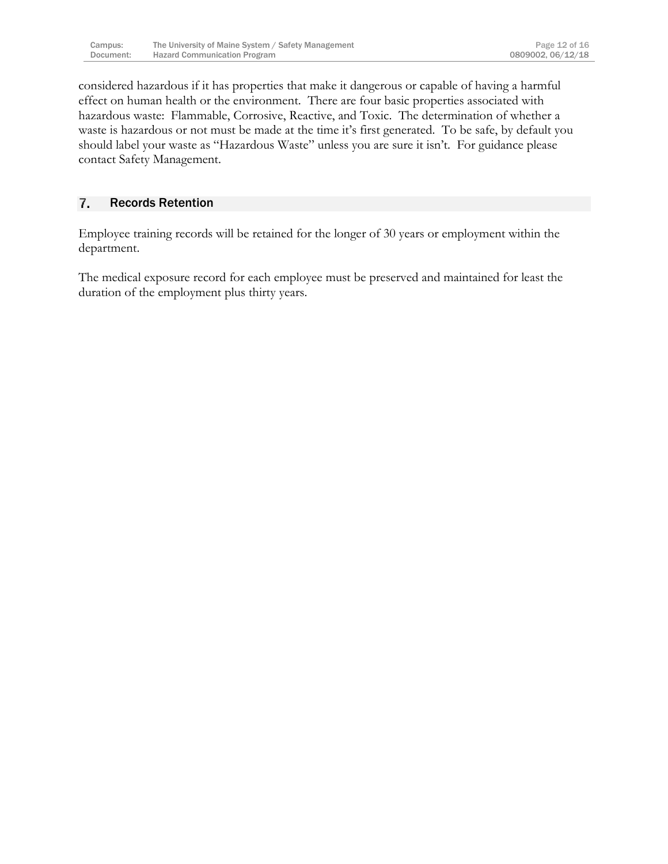considered hazardous if it has properties that make it dangerous or capable of having a harmful effect on human health or the environment. There are four basic properties associated with hazardous waste: Flammable, Corrosive, Reactive, and Toxic. The determination of whether a waste is hazardous or not must be made at the time it's first generated. To be safe, by default you should label your waste as "Hazardous Waste" unless you are sure it isn't. For guidance please contact Safety Management.

#### <span id="page-12-0"></span>7. Records Retention

Employee training records will be retained for the longer of 30 years or employment within the department.

The medical exposure record for each employee must be preserved and maintained for least the duration of the employment plus thirty years.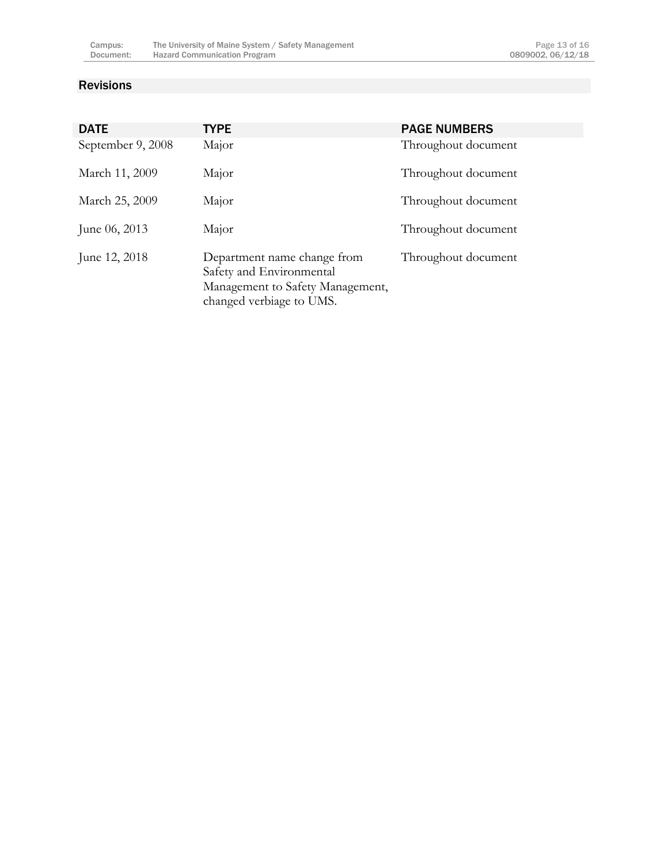### <span id="page-13-0"></span>Revisions

| <b>DATE</b>       | <b>TYPE</b>                                                                                                             | <b>PAGE NUMBERS</b> |
|-------------------|-------------------------------------------------------------------------------------------------------------------------|---------------------|
| September 9, 2008 | Major                                                                                                                   | Throughout document |
| March 11, 2009    | Major                                                                                                                   | Throughout document |
| March 25, 2009    | Major                                                                                                                   | Throughout document |
| June $06, 2013$   | Major                                                                                                                   | Throughout document |
| June 12, 2018     | Department name change from<br>Safety and Environmental<br>Management to Safety Management,<br>changed verbiage to UMS. | Throughout document |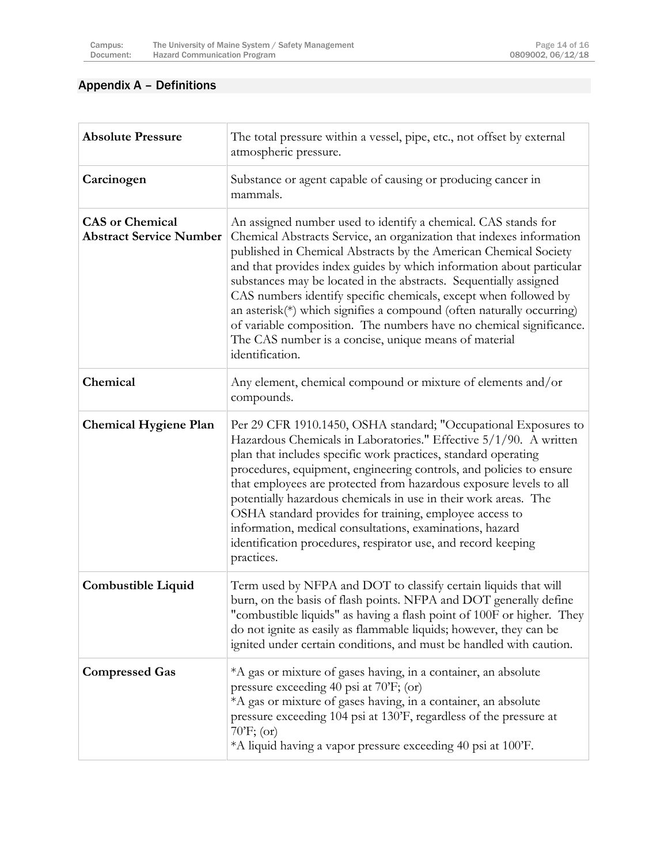# <span id="page-14-0"></span>Appendix A – Definitions

| <b>Absolute Pressure</b>                                 | The total pressure within a vessel, pipe, etc., not offset by external<br>atmospheric pressure.                                                                                                                                                                                                                                                                                                                                                                                                                                                                                                                                                         |
|----------------------------------------------------------|---------------------------------------------------------------------------------------------------------------------------------------------------------------------------------------------------------------------------------------------------------------------------------------------------------------------------------------------------------------------------------------------------------------------------------------------------------------------------------------------------------------------------------------------------------------------------------------------------------------------------------------------------------|
| Carcinogen                                               | Substance or agent capable of causing or producing cancer in<br>mammals.                                                                                                                                                                                                                                                                                                                                                                                                                                                                                                                                                                                |
| <b>CAS</b> or Chemical<br><b>Abstract Service Number</b> | An assigned number used to identify a chemical. CAS stands for<br>Chemical Abstracts Service, an organization that indexes information<br>published in Chemical Abstracts by the American Chemical Society<br>and that provides index guides by which information about particular<br>substances may be located in the abstracts. Sequentially assigned<br>CAS numbers identify specific chemicals, except when followed by<br>an asterisk(*) which signifies a compound (often naturally occurring)<br>of variable composition. The numbers have no chemical significance.<br>The CAS number is a concise, unique means of material<br>identification. |
| Chemical                                                 | Any element, chemical compound or mixture of elements and/or<br>compounds.                                                                                                                                                                                                                                                                                                                                                                                                                                                                                                                                                                              |
| <b>Chemical Hygiene Plan</b>                             | Per 29 CFR 1910.1450, OSHA standard; "Occupational Exposures to<br>Hazardous Chemicals in Laboratories." Effective 5/1/90. A written<br>plan that includes specific work practices, standard operating<br>procedures, equipment, engineering controls, and policies to ensure<br>that employees are protected from hazardous exposure levels to all<br>potentially hazardous chemicals in use in their work areas. The<br>OSHA standard provides for training, employee access to<br>information, medical consultations, examinations, hazard<br>identification procedures, respirator use, and record keeping<br>practices.                            |
| Combustible Liquid                                       | Term used by NFPA and DOT to classify certain liquids that will<br>burn, on the basis of flash points. NFPA and DOT generally define<br>"combustible liquids" as having a flash point of 100F or higher. They<br>do not ignite as easily as flammable liquids; however, they can be<br>ignited under certain conditions, and must be handled with caution.                                                                                                                                                                                                                                                                                              |
| <b>Compressed Gas</b>                                    | *A gas or mixture of gases having, in a container, an absolute<br>pressure exceeding 40 psi at 70'F; (or)<br>*A gas or mixture of gases having, in a container, an absolute<br>pressure exceeding 104 psi at 130'F, regardless of the pressure at<br>$70'$ F; (or)<br>*A liquid having a vapor pressure exceeding 40 psi at 100'F.                                                                                                                                                                                                                                                                                                                      |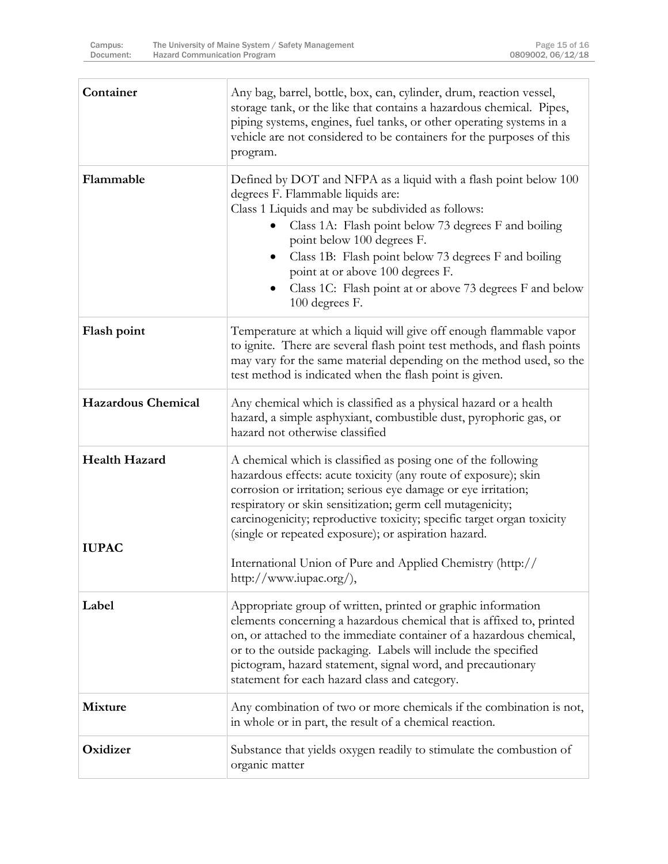| Container                            | Any bag, barrel, bottle, box, can, cylinder, drum, reaction vessel,<br>storage tank, or the like that contains a hazardous chemical. Pipes,<br>piping systems, engines, fuel tanks, or other operating systems in a<br>vehicle are not considered to be containers for the purposes of this<br>program.                                                                                                                                                          |
|--------------------------------------|------------------------------------------------------------------------------------------------------------------------------------------------------------------------------------------------------------------------------------------------------------------------------------------------------------------------------------------------------------------------------------------------------------------------------------------------------------------|
| Flammable                            | Defined by DOT and NFPA as a liquid with a flash point below 100<br>degrees F. Flammable liquids are:<br>Class 1 Liquids and may be subdivided as follows:<br>Class 1A: Flash point below 73 degrees F and boiling<br>point below 100 degrees F.<br>Class 1B: Flash point below 73 degrees F and boiling<br>point at or above 100 degrees F.<br>Class 1C: Flash point at or above 73 degrees F and below<br>100 degrees F.                                       |
| Flash point                          | Temperature at which a liquid will give off enough flammable vapor<br>to ignite. There are several flash point test methods, and flash points<br>may vary for the same material depending on the method used, so the<br>test method is indicated when the flash point is given.                                                                                                                                                                                  |
| <b>Hazardous Chemical</b>            | Any chemical which is classified as a physical hazard or a health<br>hazard, a simple asphyxiant, combustible dust, pyrophoric gas, or<br>hazard not otherwise classified                                                                                                                                                                                                                                                                                        |
| <b>Health Hazard</b><br><b>IUPAC</b> | A chemical which is classified as posing one of the following<br>hazardous effects: acute toxicity (any route of exposure); skin<br>corrosion or irritation; serious eye damage or eye irritation;<br>respiratory or skin sensitization; germ cell mutagenicity;<br>carcinogenicity; reproductive toxicity; specific target organ toxicity<br>(single or repeated exposure); or aspiration hazard.<br>International Union of Pure and Applied Chemistry (http:// |
|                                      | http://www.iupac.org/),                                                                                                                                                                                                                                                                                                                                                                                                                                          |
| Label                                | Appropriate group of written, printed or graphic information<br>elements concerning a hazardous chemical that is affixed to, printed<br>on, or attached to the immediate container of a hazardous chemical,<br>or to the outside packaging. Labels will include the specified<br>pictogram, hazard statement, signal word, and precautionary<br>statement for each hazard class and category.                                                                    |
| <b>Mixture</b>                       | Any combination of two or more chemicals if the combination is not,<br>in whole or in part, the result of a chemical reaction.                                                                                                                                                                                                                                                                                                                                   |
| Oxidizer                             | Substance that yields oxygen readily to stimulate the combustion of<br>organic matter                                                                                                                                                                                                                                                                                                                                                                            |